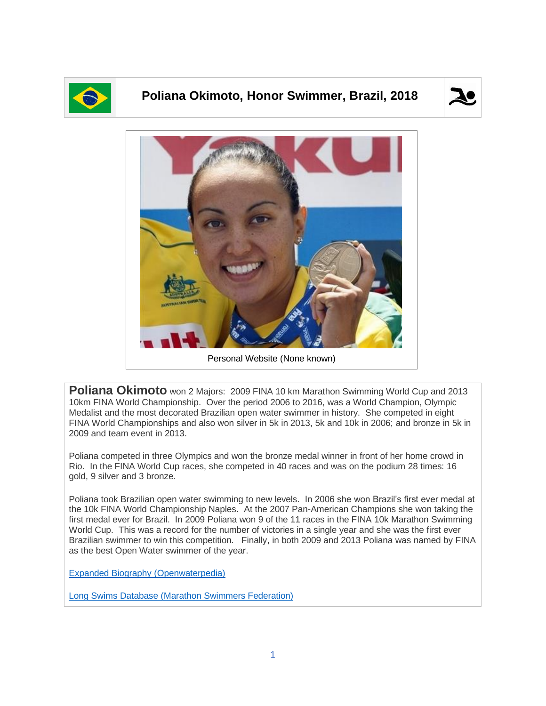

## **Poliana Okimoto, Honor Swimmer, Brazil, 2018**





**Poliana Okimoto** won 2 Majors: 2009 FINA 10 km Marathon Swimming World Cup and 2013 10km FINA World Championship. Over the period 2006 to 2016, was a World Champion, Olympic Medalist and the most decorated Brazilian open water swimmer in history. She competed in eight FINA World Championships and also won silver in 5k in 2013, 5k and 10k in 2006; and bronze in 5k in 2009 and team event in 2013.

Poliana competed in three Olympics and won the bronze medal winner in front of her home crowd in Rio. In the FINA World Cup races, she competed in 40 races and was on the podium 28 times: 16 gold, 9 silver and 3 bronze.

Poliana took Brazilian open water swimming to new levels. In 2006 she won Brazil's first ever medal at the 10k FINA World Championship Naples. At the 2007 Pan-American Champions she won taking the first medal ever for Brazil. In 2009 Poliana won 9 of the 11 races in the FINA 10k Marathon Swimming World Cup. This was a record for the number of victories in a single year and she was the first ever Brazilian swimmer to win this competition. Finally, in both 2009 and 2013 Poliana was named by FINA as the best Open Water swimmer of the year.

[Expanded Biography](https://www.openwaterpedia.com/index.php?title=Poliana_Okimoto) (Openwaterpedia)

Long Swims Database [\(Marathon Swimmers Federation\)](https://longswims.com/p/poliana-okimoto/)